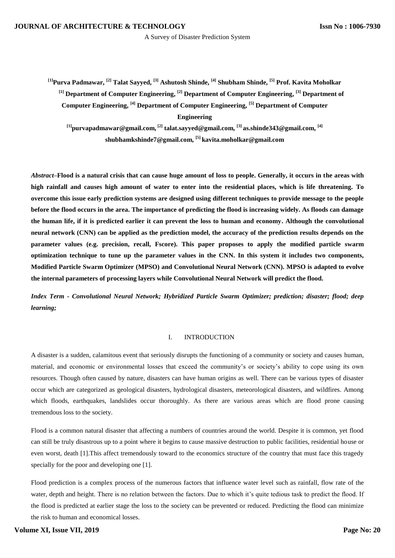A Survey of Disaster Prediction System

**[1]Purva Padmawar, [2] Talat Sayyed, [3] Ashutosh Shinde, [4] Shubham Shinde, [5] Prof. Kavita Moholkar [1] Department of Computer Engineering, [2] Department of Computer Engineering, [3] Department of Computer Engineering, [4] Department of Computer Engineering, [5] Department of Computer Engineering** 

**[1]purvapadmawar@gmail.com, [2] talat.sayyed@gmail.com, [3] as.shinde343@gmail.com, [4] shubhamkshinde7@gmail.com, [5] kavita.moholkar@gmail.com**

*Abstract–***Flood is a natural crisis that can cause huge amount of loss to people. Generally, it occurs in the areas with high rainfall and causes high amount of water to enter into the residential places, which is life threatening. To overcome this issue early prediction systems are designed using different techniques to provide message to the people before the flood occurs in the area. The importance of predicting the flood is increasing widely. As floods can damage the human life, if it is predicted earlier it can prevent the loss to human and economy. Although the convolutional neural network (CNN) can be applied as the prediction model, the accuracy of the prediction results depends on the parameter values (e.g. precision, recall, Fscore). This paper proposes to apply the modified particle swarm optimization technique to tune up the parameter values in the CNN. In this system it includes two components, Modified Particle Swarm Optimizer (MPSO) and Convolutional Neural Network (CNN). MPSO is adapted to evolve the internal parameters of processing layers while Convolutional Neural Network will predict the flood.**

*Index Term - Convolutional Neural Network; Hybridized Particle Swarm Optimizer; prediction; disaster; flood; deep learning;*

## I. INTRODUCTION

A disaster is a sudden, calamitous event that seriously disrupts the functioning of a community or society and causes human, material, and economic or environmental losses that exceed the community's or society's ability to cope using its own resources. Though often caused by nature, disasters can have human origins as well. There can be various types of disaster occur which are categorized as geological disasters, hydrological disasters, meteorological disasters, and wildfires. Among which floods, earthquakes, landslides occur thoroughly. As there are various areas which are flood prone causing tremendous loss to the society.

Flood is a common natural disaster that affecting a numbers of countries around the world. Despite it is common, yet flood can still be truly disastrous up to a point where it begins to cause massive destruction to public facilities, residential house or even worst, death [1].This affect tremendously toward to the economics structure of the country that must face this tragedy specially for the poor and developing one [1].

Flood prediction is a complex process of the numerous factors that influence water level such as rainfall, flow rate of the water, depth and height. There is no relation between the factors. Due to which it's quite tedious task to predict the flood. If the flood is predicted at earlier stage the loss to the society can be prevented or reduced. Predicting the flood can minimize the risk to human and economical losses.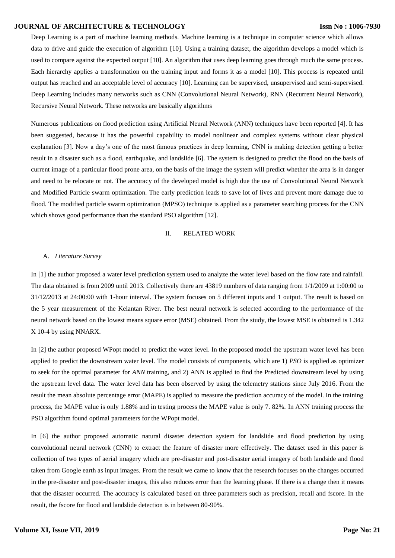Deep Learning is a part of machine learning methods. Machine learning is a technique in computer science which allows data to drive and guide the execution of algorithm [10]. Using a training dataset, the algorithm develops a model which is used to compare against the expected output [10]. An algorithm that uses deep learning goes through much the same process. Each hierarchy applies a transformation on the training input and forms it as a model [10]. This process is repeated until output has reached and an acceptable level of accuracy [10]. Learning can be supervised, unsupervised and semi-supervised. Deep Learning includes many networks such as CNN (Convolutional Neural Network), RNN (Recurrent Neural Network), Recursive Neural Network. These networks are basically algorithms

Numerous publications on flood prediction using Artificial Neural Network (ANN) techniques have been reported [4]. It has been suggested, because it has the powerful capability to model nonlinear and complex systems without clear physical explanation [3]. Now a day's one of the most famous practices in deep learning, CNN is making detection getting a better result in a disaster such as a flood, earthquake, and landslide [6]. The system is designed to predict the flood on the basis of current image of a particular flood prone area, on the basis of the image the system will predict whether the area is in danger and need to be relocate or not. The accuracy of the developed model is high due the use of Convolutional Neural Network and Modified Particle swarm optimization. The early prediction leads to save lot of lives and prevent more damage due to flood. The modified particle swarm optimization (MPSO) technique is applied as a parameter searching process for the CNN which shows good performance than the standard PSO algorithm [12].

## II. RELATED WORK

### A. *Literature Survey*

In [1] the author proposed a water level prediction system used to analyze the water level based on the flow rate and rainfall. The data obtained is from 2009 until 2013. Collectively there are 43819 numbers of data ranging from 1/1/2009 at 1:00:00 to 31/12/2013 at 24:00:00 with 1-hour interval. The system focuses on 5 different inputs and 1 output. The result is based on the 5 year measurement of the Kelantan River. The best neural network is selected according to the performance of the neural network based on the lowest means square error (MSE) obtained. From the study, the lowest MSE is obtained is 1.342 X 10-4 by using NNARX.

In [2] the author proposed WPopt model to predict the water level. In the proposed model the upstream water level has been applied to predict the downstream water level. The model consists of components, which are 1) *PSO* is applied as optimizer to seek for the optimal parameter for *ANN* training, and 2) ANN is applied to find the Predicted downstream level by using the upstream level data. The water level data has been observed by using the telemetry stations since July 2016. From the result the mean absolute percentage error (MAPE) is applied to measure the prediction accuracy of the model. In the training process, the MAPE value is only 1.88% and in testing process the MAPE value is only 7. 82%. In ANN training process the PSO algorithm found optimal parameters for the WPopt model.

In [6] the author proposed automatic natural disaster detection system for landslide and flood prediction by using convolutional neural network (CNN) to extract the feature of disaster more effectively. The dataset used in this paper is collection of two types of aerial imagery which are pre-disaster and post-disaster aerial imagery of both landside and flood taken from Google earth as input images. From the result we came to know that the research focuses on the changes occurred in the pre-disaster and post-disaster images, this also reduces error than the learning phase. If there is a change then it means that the disaster occurred. The accuracy is calculated based on three parameters such as precision, recall and fscore. In the result, the fscore for flood and landslide detection is in between 80-90%.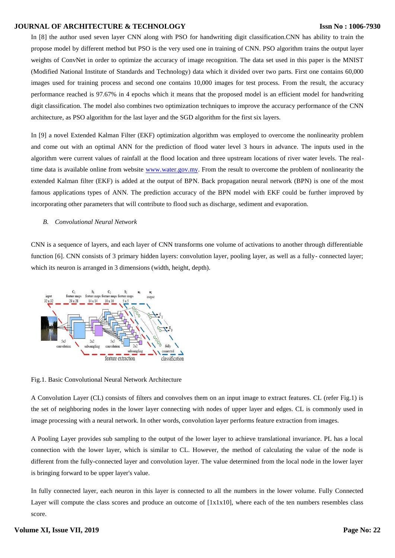In [8] the author used seven layer CNN along with PSO for handwriting digit classification.CNN has ability to train the propose model by different method but PSO is the very used one in training of CNN. PSO algorithm trains the output layer weights of ConvNet in order to optimize the accuracy of image recognition. The data set used in this paper is the MNIST (Modified National Institute of Standards and Technology) data which it divided over two parts. First one contains 60,000 images used for training process and second one contains 10,000 images for test process. From the result, the accuracy performance reached is 97.67% in 4 epochs which it means that the proposed model is an efficient model for handwriting digit classification. The model also combines two optimization techniques to improve the accuracy performance of the CNN architecture, as PSO algorithm for the last layer and the SGD algorithm for the first six layers.

In [9] a novel Extended Kalman Filter (EKF) optimization algorithm was employed to overcome the nonlinearity problem and come out with an optimal ANN for the prediction of flood water level 3 hours in advance. The inputs used in the algorithm were current values of rainfall at the flood location and three upstream locations of river water levels. The realtime data is available online from website [www.water.gov.my.](http://www.water.gov.my/) From the result to overcome the problem of nonlinearity the extended Kalman filter (EKF) is added at the output of BPN. Back propagation neural network (BPN) is one of the most famous applications types of ANN. The prediction accuracy of the BPN model with EKF could be further improved by incorporating other parameters that will contribute to flood such as discharge, sediment and evaporation.

## *B. Convolutional Neural Network*

CNN is a sequence of layers, and each layer of CNN transforms one volume of activations to another through differentiable function [6]. CNN consists of 3 primary hidden layers: convolution layer, pooling layer, as well as a fully- connected layer; which its neuron is arranged in 3 dimensions (width, height, depth).



Fig.1. Basic Convolutional Neural Network Architecture

A Convolution Layer (CL) consists of filters and convolves them on an input image to extract features. CL (refer Fig.1) is the set of neighboring nodes in the lower layer connecting with nodes of upper layer and edges. CL is commonly used in image processing with a neural network. In other words, convolution layer performs feature extraction from images.

A Pooling Layer provides sub sampling to the output of the lower layer to achieve translational invariance. PL has a local connection with the lower layer, which is similar to CL. However, the method of calculating the value of the node is different from the fully-connected layer and convolution layer. The value determined from the local node in the lower layer is bringing forward to be upper layer's value.

In fully connected layer, each neuron in this layer is connected to all the numbers in the lower volume. Fully Connected Layer will compute the class scores and produce an outcome of  $[1x1x10]$ , where each of the ten numbers resembles class score.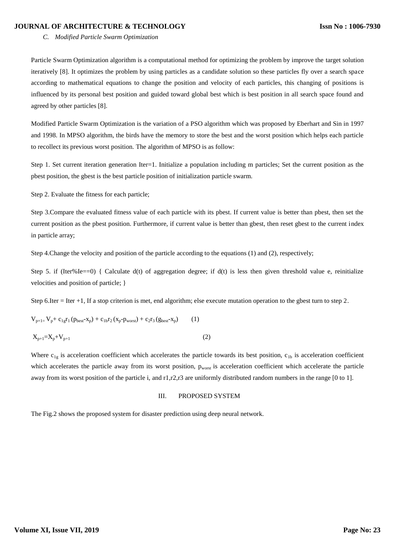#### *C. Modified Particle Swarm Optimization*

Particle Swarm Optimization algorithm is a computational method for optimizing the problem by improve the target solution iteratively [8]. It optimizes the problem by using particles as a candidate solution so these particles fly over a search space according to mathematical equations to change the position and velocity of each particles, this changing of positions is influenced by its personal best position and guided toward global best which is best position in all search space found and agreed by other particles [8].

Modified Particle Swarm Optimization is the variation of a PSO algorithm which was proposed by Eberhart and Sin in 1997 and 1998. In MPSO algorithm, the birds have the memory to store the best and the worst position which helps each particle to recollect its previous worst position. The algorithm of MPSO is as follow:

Step 1. Set current iteration generation Iter=1. Initialize a population including m particles; Set the current position as the pbest position, the gbest is the best particle position of initialization particle swarm.

Step 2. Evaluate the fitness for each particle;

Step 3.Compare the evaluated fitness value of each particle with its pbest. If current value is better than pbest, then set the current position as the pbest position. Furthermore, if current value is better than gbest, then reset gbest to the current index in particle array;

Step 4.Change the velocity and position of the particle according to the equations (1) and (2), respectively;

Step 5. if (Iter%Ie==0) { Calculate  $d(t)$  of aggregation degree; if  $d(t)$  is less then given threshold value e, reinitialize velocities and position of particle; }

Step 6.Iter = Iter +1, If a stop criterion is met, end algorithm; else execute mutation operation to the gbest turn to step 2.

$$
V_{p+1} = V_p + c_{1g}r_1 \left( p_{best} - x_p \right) + c_{1b}r_2 \left( x_p - p_{worst} \right) + c_2r_3 \left( g_{best} - x_p \right) \hspace{1cm} (1)
$$

 $X_{p+1}=X_p+V_{p+1}$  (2)

Where  $c_{1g}$  is acceleration coefficient which accelerates the particle towards its best position,  $c_{1b}$  is acceleration coefficient which accelerates the particle away from its worst position, pworst is acceleration coefficient which accelerate the particle away from its worst position of the particle i, and r1,r2,r3 are uniformly distributed random numbers in the range [0 to 1].

### III. PROPOSED SYSTEM

The Fig.2 shows the proposed system for disaster prediction using deep neural network.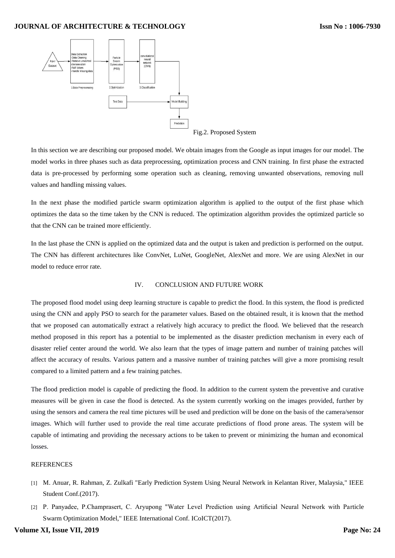

In this section we are describing our proposed model. We obtain images from the Google as input images for our model. The model works in three phases such as data preprocessing, optimization process and CNN training. In first phase the extracted data is pre-processed by performing some operation such as cleaning, removing unwanted observations, removing null values and handling missing values.

In the next phase the modified particle swarm optimization algorithm is applied to the output of the first phase which optimizes the data so the time taken by the CNN is reduced. The optimization algorithm provides the optimized particle so that the CNN can be trained more efficiently.

In the last phase the CNN is applied on the optimized data and the output is taken and prediction is performed on the output. The CNN has different architectures like ConvNet, LuNet, GoogleNet, AlexNet and more. We are using AlexNet in our model to reduce error rate.

# IV. CONCLUSION AND FUTURE WORK

The proposed flood model using deep learning structure is capable to predict the flood. In this system, the flood is predicted using the CNN and apply PSO to search for the parameter values. Based on the obtained result, it is known that the method that we proposed can automatically extract a relatively high accuracy to predict the flood. We believed that the research method proposed in this report has a potential to be implemented as the disaster prediction mechanism in every each of disaster relief center around the world. We also learn that the types of image pattern and number of training patches will affect the accuracy of results. Various pattern and a massive number of training patches will give a more promising result compared to a limited pattern and a few training patches.

The flood prediction model is capable of predicting the flood. In addition to the current system the preventive and curative measures will be given in case the flood is detected. As the system currently working on the images provided, further by using the sensors and camera the real time pictures will be used and prediction will be done on the basis of the camera/sensor images. Which will further used to provide the real time accurate predictions of flood prone areas. The system will be capable of intimating and providing the necessary actions to be taken to prevent or minimizing the human and economical losses.

# **REFERENCES**

- [1] M. Anuar, R. Rahman, Z. Zulkafi "Early Prediction System Using Neural Network in Kelantan River, Malaysia," IEEE Student Conf.(2017).
- [2] P. Panyadee, P.Champrasert, C. Aryupong "Water Level Prediction using Artificial Neural Network with Particle Swarm Optimization Model," IEEE International Conf. ICoICT(2017).

**Volume XI, Issue VII, 2019**